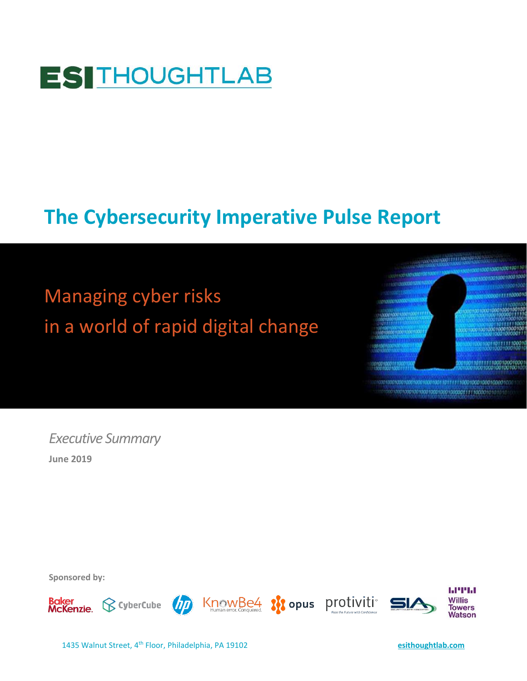

# **The Cybersecurity Imperative Pulse Report**

Managing cyber risks in a world of rapid digital change



*Executive Summary* **June 2019**

**Sponsored by:** 

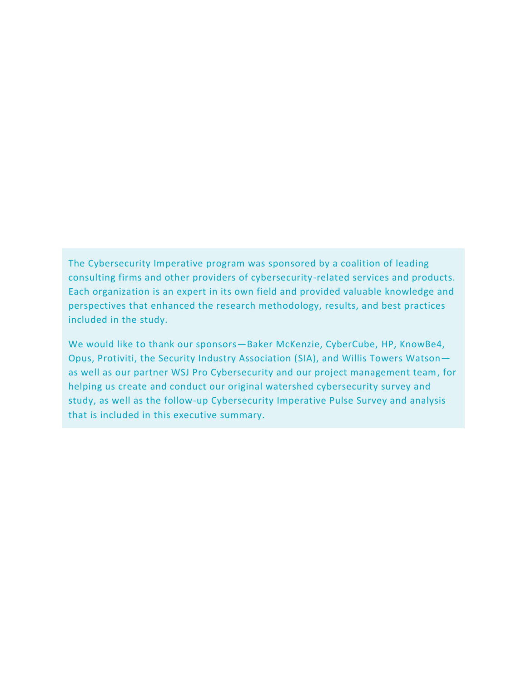The Cybersecurity Imperative program was sponsored by a coalition of leading consulting firms and other providers of cybersecurity-related services and products. Each organization is an expert in its own field and provided valuable knowledge and perspectives that enhanced the research methodology, results, and best practices included in the study.

We would like to thank our sponsors—Baker McKenzie, CyberCube, HP, KnowBe4, Opus, Protiviti, the Security Industry Association (SIA), and Willis Towers Watson as well as our partner WSJ Pro Cybersecurity and our project management team, for helping us create and conduct our original watershed cybersecurity survey and study, as well as the follow-up Cybersecurity Imperative Pulse Survey and analysis that is included in this executive summary.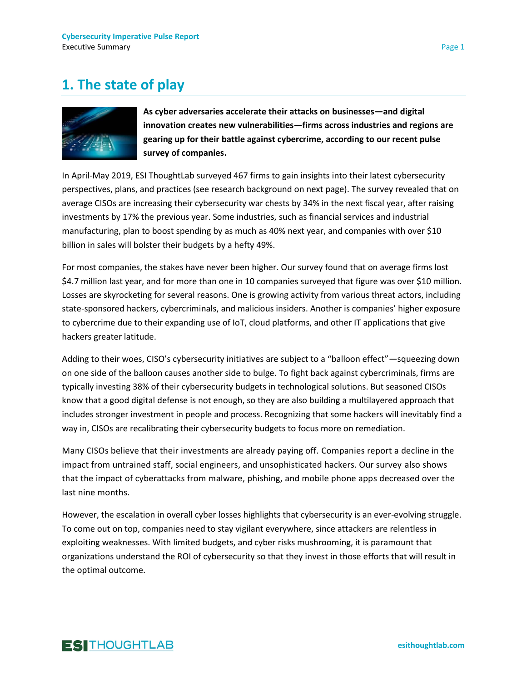## **1. The state of play**



**As cyber adversaries accelerate their attacks on businesses—and digital innovation creates new vulnerabilities—firms across industries and regions are gearing up for their battle against cybercrime, according to our recent pulse survey of companies.**

In April-May 2019, ESI ThoughtLab surveyed 467 firms to gain insights into their latest cybersecurity perspectives, plans, and practices (see research background on next page). The survey revealed that on average CISOs are increasing their cybersecurity war chests by 34% in the next fiscal year, after raising investments by 17% the previous year. Some industries, such as financial services and industrial manufacturing, plan to boost spending by as much as 40% next year, and companies with over \$10 billion in sales will bolster their budgets by a hefty 49%.

For most companies, the stakes have never been higher. Our survey found that on average firms lost \$4.7 million last year, and for more than one in 10 companies surveyed that figure was over \$10 million. Losses are skyrocketing for several reasons. One is growing activity from various threat actors, including state-sponsored hackers, cybercriminals, and malicious insiders. Another is companies' higher exposure to cybercrime due to their expanding use of IoT, cloud platforms, and other IT applications that give hackers greater latitude.

Adding to their woes, CISO's cybersecurity initiatives are subject to a "balloon effect"—squeezing down on one side of the balloon causes another side to bulge. To fight back against cybercriminals, firms are typically investing 38% of their cybersecurity budgets in technological solutions. But seasoned CISOs know that a good digital defense is not enough, so they are also building a multilayered approach that includes stronger investment in people and process. Recognizing that some hackers will inevitably find a way in, CISOs are recalibrating their cybersecurity budgets to focus more on remediation.

Many CISOs believe that their investments are already paying off. Companies report a decline in the impact from untrained staff, social engineers, and unsophisticated hackers. Our survey also shows that the impact of cyberattacks from malware, phishing, and mobile phone apps decreased over the last nine months.

However, the escalation in overall cyber losses highlights that cybersecurity is an ever-evolving struggle. To come out on top, companies need to stay vigilant everywhere, since attackers are relentless in exploiting weaknesses. With limited budgets, and cyber risks mushrooming, it is paramount that organizations understand the ROI of cybersecurity so that they invest in those efforts that will result in the optimal outcome.

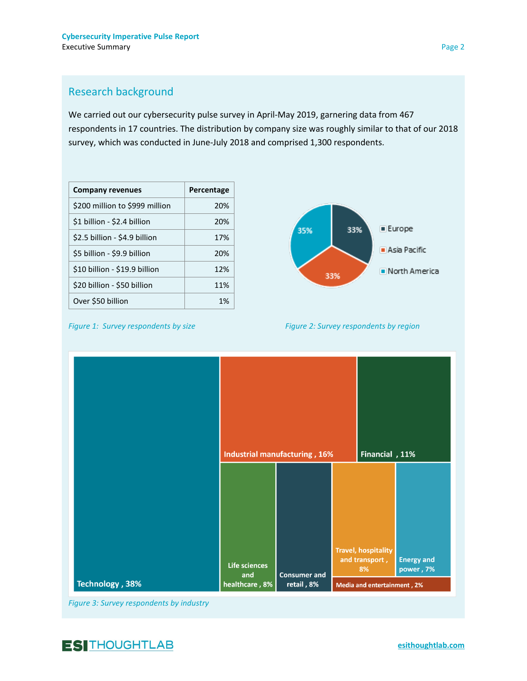### Research background

We carried out our cybersecurity pulse survey in April-May 2019, garnering data from 467 respondents in 17 countries. The distribution by company size was roughly similar to that of our 2018 survey, which was conducted in June-July 2018 and comprised 1,300 respondents.

| <b>Company revenues</b>        | Percentage |
|--------------------------------|------------|
| \$200 million to \$999 million | 20%        |
| \$1 billion - \$2.4 billion    | 20%        |
| \$2.5 billion - \$4.9 billion  | 17%        |
| \$5 billion - \$9.9 billion    | 20%        |
| \$10 billion - \$19.9 billion  | 12%        |
| \$20 billion - \$50 billion    | 11%        |
| Over \$50 billion              | 1%         |



*Figure 1: Survey respondents by size* Figure 2: Survey respondents by region

|                 |                      | Industrial manufacturing, 16% |                             | Financial, 11%                                     |                                |
|-----------------|----------------------|-------------------------------|-----------------------------|----------------------------------------------------|--------------------------------|
|                 | Life sciences<br>and | <b>Consumer and</b>           |                             | <b>Travel, hospitality</b><br>and transport,<br>8% | <b>Energy and</b><br>power, 7% |
| Technology, 38% | healthcare, 8%       | retail, 8%                    | Media and entertainment, 2% |                                                    |                                |

*Figure 3: Survey respondents by industry*

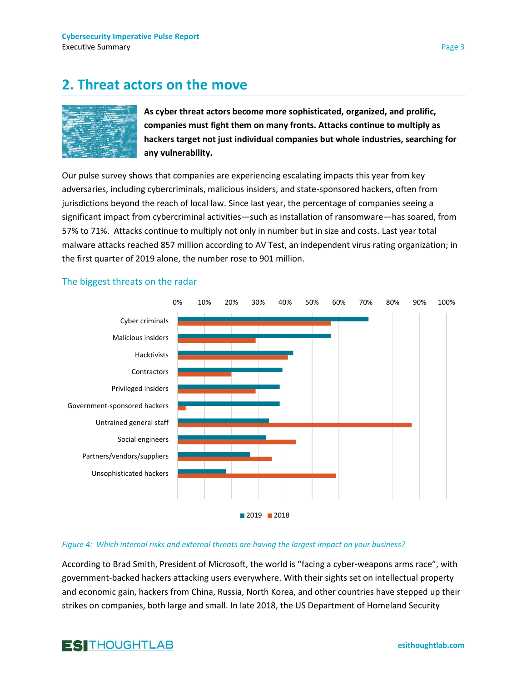### **2. Threat actors on the move**



**As cyber threat actors become more sophisticated, organized, and prolific, companies must fight them on many fronts. Attacks continue to multiply as hackers target not just individual companies but whole industries, searching for any vulnerability.**

Our pulse survey shows that companies are experiencing escalating impacts this year from key adversaries, including cybercriminals, malicious insiders, and state-sponsored hackers, often from jurisdictions beyond the reach of local law. Since last year, the percentage of companies seeing a significant impact from cybercriminal activities—such as installation of ransomware—has soared, from 57% to 71%. Attacks continue to multiply not only in number but in size and costs. Last year total malware attacks reached 857 million according to AV Test, an independent virus rating organization; in the first quarter of 2019 alone, the number rose to 901 million.



#### The biggest threats on the radar

#### *Figure 4: Which internal risks and external threats are having the largest impact on your business?*

According to Brad Smith, President of Microsoft, the world is "facing a cyber-weapons arms race", with government-backed hackers attacking users everywhere. With their sights set on intellectual property and economic gain, hackers from China, Russia, North Korea, and other countries have stepped up their strikes on companies, both large and small. In late 2018, the US Department of Homeland Security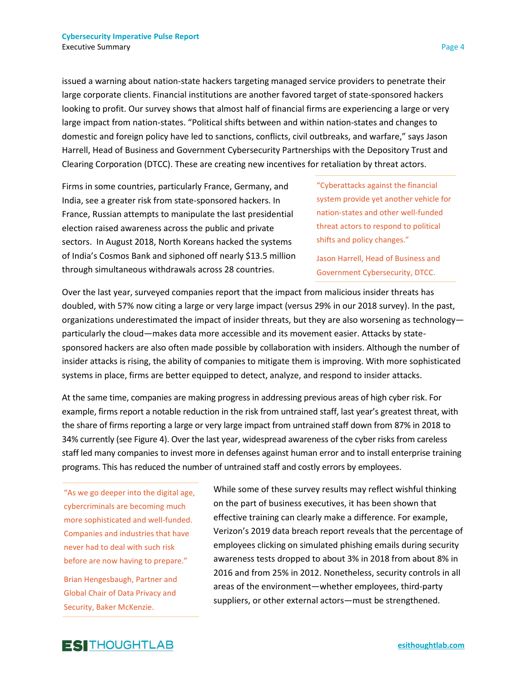issued a warning about nation-state hackers targeting managed service providers to penetrate their large corporate clients. Financial institutions are another favored target of state-sponsored hackers looking to profit. Our survey shows that almost half of financial firms are experiencing a large or very large impact from nation-states. "Political shifts between and within nation-states and changes to domestic and foreign policy have led to sanctions, conflicts, civil outbreaks, and warfare," says Jason Harrell, Head of Business and Government Cybersecurity Partnerships with the Depository Trust and Clearing Corporation (DTCC). These are creating new incentives for retaliation by threat actors.

Firms in some countries, particularly France, Germany, and India, see a greater risk from state-sponsored hackers. In France, Russian attempts to manipulate the last presidential election raised awareness across the public and private sectors. In August 2018, North Koreans hacked the systems of India's Cosmos Bank and siphoned off nearly \$13.5 million through simultaneous withdrawals across 28 countries.

"Cyberattacks against the financial system provide yet another vehicle for nation-states and other well-funded threat actors to respond to political shifts and policy changes."

Jason Harrell, Head of Business and Government Cybersecurity, DTCC.

Over the last year, surveyed companies report that the impact from malicious insider threats has doubled, with 57% now citing a large or very large impact (versus 29% in our 2018 survey). In the past, organizations underestimated the impact of insider threats, but they are also worsening as technology particularly the cloud—makes data more accessible and its movement easier. Attacks by statesponsored hackers are also often made possible by collaboration with insiders. Although the number of insider attacks is rising, the ability of companies to mitigate them is improving. With more sophisticated systems in place, firms are better equipped to detect, analyze, and respond to insider attacks.

At the same time, companies are making progress in addressing previous areas of high cyber risk. For example, firms report a notable reduction in the risk from untrained staff, last year's greatest threat, with the share of firms reporting a large or very large impact from untrained staff down from 87% in 2018 to 34% currently (see Figure 4). Over the last year, widespread awareness of the cyber risks from careless staff led many companies to invest more in defenses against human error and to install enterprise training programs. This has reduced the number of untrained staff and costly errors by employees.

"As we go deeper into the digital age, cybercriminals are becoming much more sophisticated and well-funded. Companies and industries that have never had to deal with such risk before are now having to prepare."

Brian Hengesbaugh, Partner and Global Chair of Data Privacy and Security, Baker McKenzie.

While some of these survey results may reflect wishful thinking on the part of business executives, it has been shown that effective training can clearly make a difference. For example, Verizon's 2019 data breach report reveals that the percentage of employees clicking on simulated phishing emails during security awareness tests dropped to about 3% in 2018 from about 8% in 2016 and from 25% in 2012. Nonetheless, security controls in all areas of the environment—whether employees, third-party suppliers, or other external actors—must be strengthened.

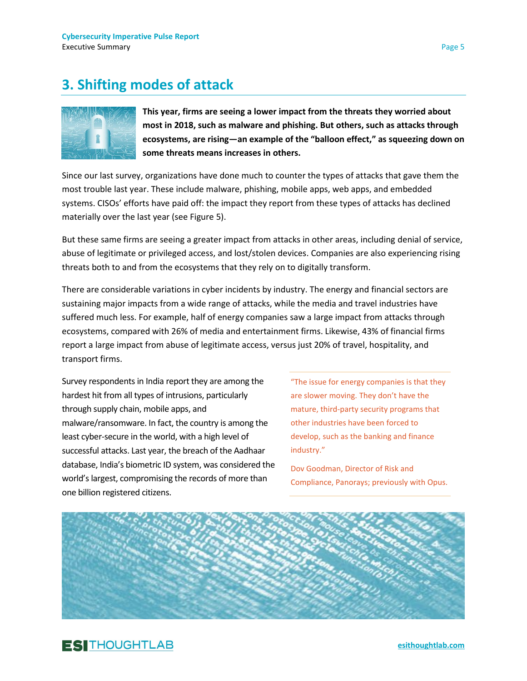### **3. Shifting modes of attack**



**This year, firms are seeing a lower impact from the threats they worried about most in 2018, such as malware and phishing. But others, such as attacks through ecosystems, are rising—an example of the "balloon effect," as squeezing down on some threats means increases in others.**

Since our last survey, organizations have done much to counter the types of attacks that gave them the most trouble last year. These include malware, phishing, mobile apps, web apps, and embedded systems. CISOs' efforts have paid off: the impact they report from these types of attacks has declined materially over the last year (see Figure 5).

But these same firms are seeing a greater impact from attacks in other areas, including denial of service, abuse of legitimate or privileged access, and lost/stolen devices. Companies are also experiencing rising threats both to and from the ecosystems that they rely on to digitally transform.

There are considerable variations in cyber incidents by industry. The energy and financial sectors are sustaining major impacts from a wide range of attacks, while the media and travel industries have suffered much less. For example, half of energy companies saw a large impact from attacks through ecosystems, compared with 26% of media and entertainment firms. Likewise, 43% of financial firms report a large impact from abuse of legitimate access, versus just 20% of travel, hospitality, and transport firms.

Survey respondents in India report they are among the hardest hit from all types of intrusions, particularly through supply chain, mobile apps, and malware/ransomware. In fact, the country is among the least cyber-secure in the world, with a high level of successful attacks. Last year, the breach of the Aadhaar database, India's biometric ID system, was considered the world's largest, compromising the records of more than one billion registered citizens.

"The issue for energy companies is that they are slower moving. They don't have the mature, third-party security programs that other industries have been forced to develop, such as the banking and finance industry."

Dov Goodman, Director of Risk and Compliance, Panorays; previously with Opus.



### **ESITHOUGHTLAB**

**[esithoughtlab.com](http://www.esithoughtlab.com/)**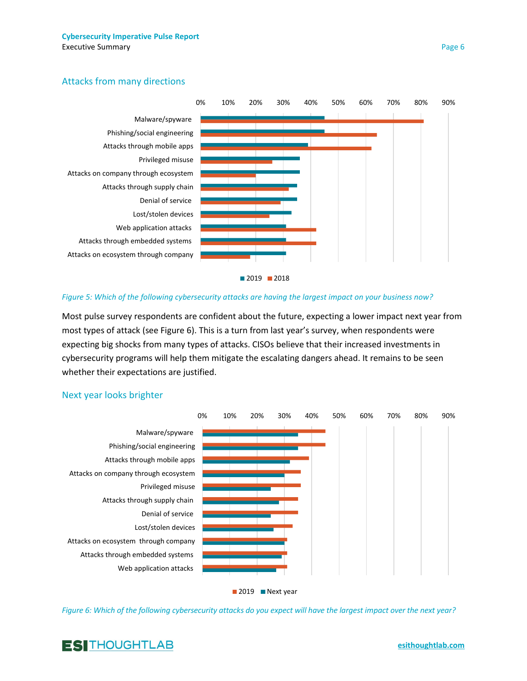### Attacks from many directions



#### *Figure 5: Which of the following cybersecurity attacks are having the largest impact on your business now?*

Most pulse survey respondents are confident about the future, expecting a lower impact next year from most types of attack (see Figure 6). This is a turn from last year's survey, when respondents were expecting big shocks from many types of attacks. CISOs believe that their increased investments in cybersecurity programs will help them mitigate the escalating dangers ahead. It remains to be seen whether their expectations are justified.

#### Next year looks brighter



*Figure 6: Which of the following cybersecurity attacks do you expect will have the largest impact over the next year?*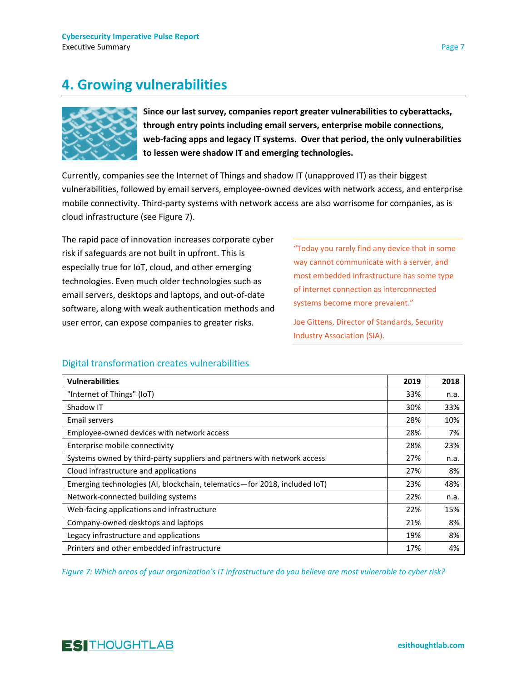## **4. Growing vulnerabilities**



**Since our last survey, companies report greater vulnerabilities to cyberattacks, through entry points including email servers, enterprise mobile connections, web-facing apps and legacy IT systems. Over that period, the only vulnerabilities to lessen were shadow IT and emerging technologies.**

Currently, companies see the Internet of Things and shadow IT (unapproved IT) as their biggest vulnerabilities, followed by email servers, employee-owned devices with network access, and enterprise mobile connectivity. Third-party systems with network access are also worrisome for companies, as is cloud infrastructure (see Figure 7).

The rapid pace of innovation increases corporate cyber risk if safeguards are not built in upfront. This is especially true for IoT, cloud, and other emerging technologies. Even much older technologies such as email servers, desktops and laptops, and out-of-date software, along with weak authentication methods and user error, can expose companies to greater risks.

"Today you rarely find any device that in some way cannot communicate with a server, and most embedded infrastructure has some type of internet connection as interconnected systems become more prevalent."

Joe Gittens, Director of Standards, Security Industry Association (SIA).

### Digital transformation creates vulnerabilities

| <b>Vulnerabilities</b>                                                    | 2019 | 2018 |
|---------------------------------------------------------------------------|------|------|
| "Internet of Things" (IoT)                                                | 33%  | n.a. |
| Shadow IT                                                                 | 30%  | 33%  |
| Email servers                                                             | 28%  | 10%  |
| Employee-owned devices with network access                                | 28%  | 7%   |
| Enterprise mobile connectivity                                            | 28%  | 23%  |
| Systems owned by third-party suppliers and partners with network access   | 27%  | n.a. |
| Cloud infrastructure and applications                                     | 27%  | 8%   |
| Emerging technologies (AI, blockchain, telematics-for 2018, included IoT) | 23%  | 48%  |
| Network-connected building systems                                        | 22%  | n.a. |
| Web-facing applications and infrastructure                                | 22%  | 15%  |
| Company-owned desktops and laptops                                        | 21%  | 8%   |
| Legacy infrastructure and applications                                    | 19%  | 8%   |
| Printers and other embedded infrastructure                                | 17%  | 4%   |

*Figure 7: Which areas of your organization's IT infrastructure do you believe are most vulnerable to cyber risk?*

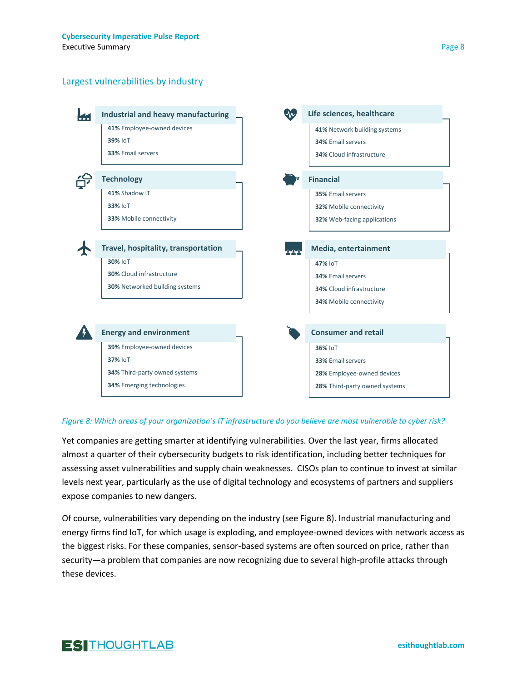#### Largest vulnerabilities by industry



#### *Figure 8: Which areas of your organization's IT infrastructure do you believe are most vulnerable to cyber risk?*

Yet companies are getting smarter at identifying vulnerabilities. Over the last year, firms allocated almost a quarter of their cybersecurity budgets to risk identification, including better techniques for assessing asset vulnerabilities and supply chain weaknesses. CISOs plan to continue to invest at similar levels next year, particularly as the use of digital technology and ecosystems of partners and suppliers expose companies to new dangers.

Of course, vulnerabilities vary depending on the industry (see Figure 8). Industrial manufacturing and energy firms find IoT, for which usage is exploding, and employee-owned devices with network access as the biggest risks. For these companies, sensor-based systems are often sourced on price, rather than security—a problem that companies are now recognizing due to several high-profile attacks through these devices.

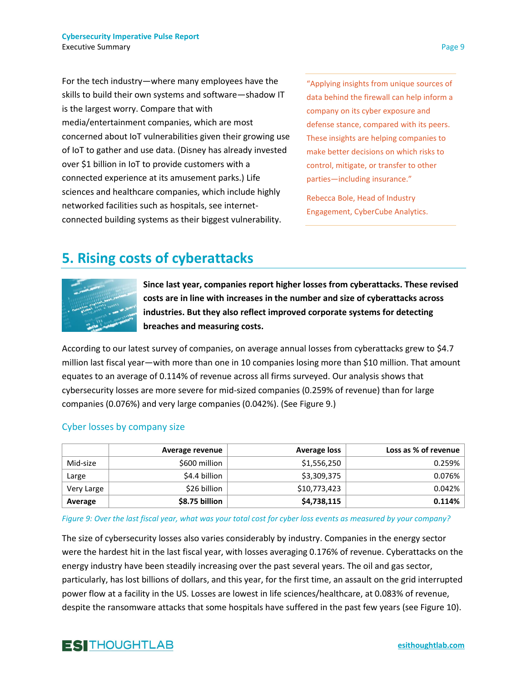For the tech industry—where many employees have the skills to build their own systems and software—shadow IT is the largest worry. Compare that with media/entertainment companies, which are most concerned about IoT vulnerabilities given their growing use of IoT to gather and use data. (Disney has already invested over \$1 billion in IoT to provide customers with a connected experience at its amusement parks.) Life sciences and healthcare companies, which include highly networked facilities such as hospitals, see internetconnected building systems as their biggest vulnerability.

"Applying insights from unique sources of data behind the firewall can help inform a company on its cyber exposure and defense stance, compared with its peers. These insights are helping companies to make better decisions on which risks to control, mitigate, or transfer to other parties—including insurance."

Rebecca Bole, Head of Industry Engagement, CyberCube Analytics.

### **5. Rising costs of cyberattacks**



**Since last year, companies report higher losses from cyberattacks. These revised costs are in line with increases in the number and size of cyberattacks across industries. But they also reflect improved corporate systems for detecting breaches and measuring costs.**

According to our latest survey of companies, on average annual losses from cyberattacks grew to \$4.7 million last fiscal year—with more than one in 10 companies losing more than \$10 million. That amount equates to an average of 0.114% of revenue across all firms surveyed. Our analysis shows that cybersecurity losses are more severe for mid-sized companies (0.259% of revenue) than for large companies (0.076%) and very large companies (0.042%). (See Figure 9.)

#### Cyber losses by company size

|            | Average revenue | Average loss | Loss as % of revenue |
|------------|-----------------|--------------|----------------------|
| Mid-size   | \$600 million   | \$1,556,250  | 0.259%               |
| Large      | \$4.4 billion   | \$3,309,375  | 0.076%               |
| Very Large | \$26 billion    | \$10,773,423 | 0.042%               |
| Average    | \$8.75 billion  | \$4,738,115  | 0.114%               |

*Figure 9: Over the last fiscal year, what was your total cost for cyber loss events as measured by your company?*

The size of cybersecurity losses also varies considerably by industry. Companies in the energy sector were the hardest hit in the last fiscal year, with losses averaging 0.176% of revenue. Cyberattacks on the energy industry have been steadily increasing over the past several years. The oil and gas sector, particularly, has lost billions of dollars, and this year, for the first time, an assault on the grid interrupted power flow at a facility in the US. Losses are lowest in life sciences/healthcare, at 0.083% of revenue, despite the ransomware attacks that some hospitals have suffered in the past few years (see Figure 10).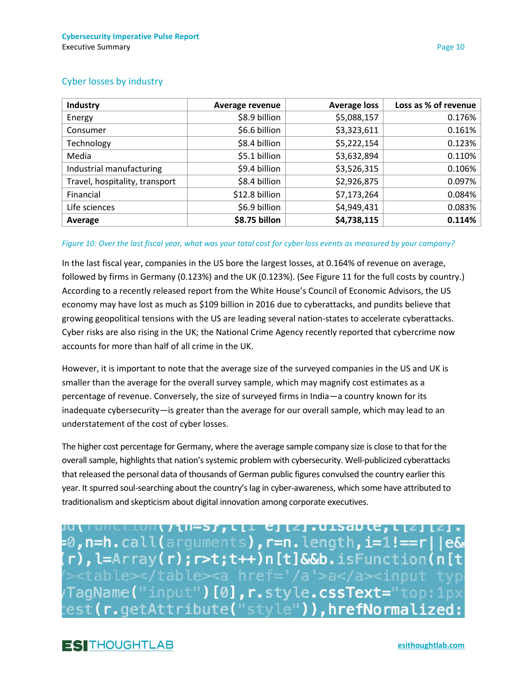|  | <b>Cyber losses by industry</b> |  |  |  |
|--|---------------------------------|--|--|--|
|--|---------------------------------|--|--|--|

| Industry                       | Average revenue | <b>Average loss</b> | Loss as % of revenue |
|--------------------------------|-----------------|---------------------|----------------------|
| Energy                         | \$8.9 billion   | \$5,088,157         | 0.176%               |
| Consumer                       | \$6.6 billion   | \$3,323,611         | 0.161%               |
| Technology                     | \$8.4 billion   | \$5,222,154         | 0.123%               |
| Media                          | \$5.1 billion   | \$3,632,894         | 0.110%               |
| Industrial manufacturing       | \$9.4 billion   | \$3,526,315         | 0.106%               |
| Travel, hospitality, transport | \$8.4 billion   | \$2,926,875         | 0.097%               |
| Financial                      | \$12.8 billion  | \$7,173,264         | 0.084%               |
| Life sciences                  | \$6.9 billion   | \$4,949,431         | 0.083%               |
| Average                        | \$8.75 billon   | \$4,738,115         | 0.114%               |

#### *Figure 10: Over the last fiscal year, what was your total cost for cyber loss events as measured by your company?*

In the last fiscal year, companies in the US bore the largest losses, at 0.164% of revenue on average, followed by firms in Germany (0.123%) and the UK (0.123%). (See Figure 11 for the full costs by country.) According to a recently released report from the White House's Council of Economic Advisors, the US economy may have lost as much as \$109 billion in 2016 due to cyberattacks, and pundits believe that growing geopolitical tensions with the US are leading several nation-states to accelerate cyberattacks. Cyber risks are also rising in the UK; the National Crime Agency recently reported that cybercrime now accounts for more than half of all crime in the UK.

However, it is important to note that the average size of the surveyed companies in the US and UK is smaller than the average for the overall survey sample, which may magnify cost estimates as a percentage of revenue. Conversely, the size of surveyed firms in India—a country known for its inadequate cybersecurity—is greater than the average for our overall sample, which may lead to an understatement of the cost of cyber losses.

The higher cost percentage for Germany, where the average sample company size is close to that for the overall sample, highlights that nation's systemic problem with cybersecurity. Well-publicized cyberattacks that released the personal data of thousands of German public figures convulsed the country earlier this year. It spurred soul-searching about the country's lag in cyber-awareness, which some have attributed to traditionalism and skepticism about digital innovation among corporate executives.

WHO CION ( / 11-5), C [ L C ] [Z ] . UISAD LC, L [Z ] [Z ] . =0,n=h.call(arguments),r=n.length,i=1!==r||e& r), l=Array(r); r>t;t++)n[t]&&b.isFunction(n[t TagName("input")[0],r.style.cssText="top:1px<br>est(r.getAttribute("style")),hrefNormalized: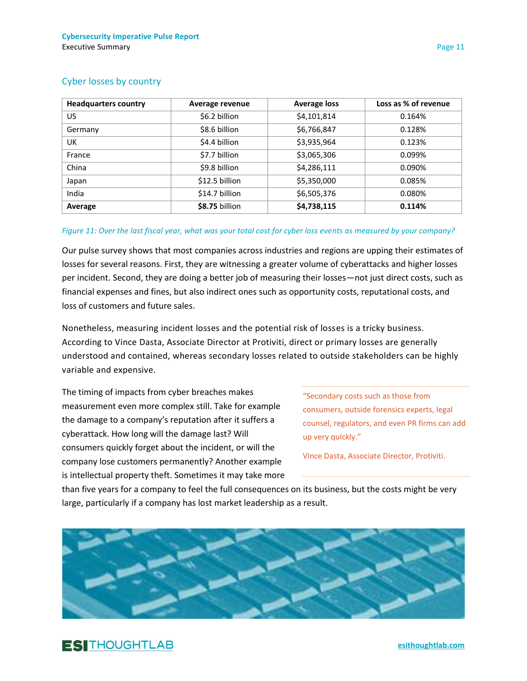| <b>Headquarters country</b> | Average revenue | <b>Average loss</b> | Loss as % of revenue |
|-----------------------------|-----------------|---------------------|----------------------|
| US.                         | \$6.2 billion   | \$4,101,814         | 0.164%               |
| Germany                     | \$8.6 billion   | \$6,766,847         | 0.128%               |
| UK                          | \$4.4 billion   | \$3,935,964         | 0.123%               |
| France                      | \$7.7 billion   | \$3,065,306         | 0.099%               |
| China                       | \$9.8 billion   | \$4,286,111         | 0.090%               |
| Japan                       | \$12.5 billion  | \$5,350,000         | 0.085%               |
| India                       | \$14.7 billion  | \$6,505,376         | 0.080%               |
| Average                     | \$8.75 billion  | \$4,738,115         | 0.114%               |

#### Cyber losses by country

#### *Figure 11: Over the last fiscal year, what was your total cost for cyber loss events as measured by your company?*

Our pulse survey shows that most companies across industries and regions are upping their estimates of losses for several reasons. First, they are witnessing a greater volume of cyberattacks and higher losses per incident. Second, they are doing a better job of measuring their losses—not just direct costs, such as financial expenses and fines, but also indirect ones such as opportunity costs, reputational costs, and loss of customers and future sales.

Nonetheless, measuring incident losses and the potential risk of losses is a tricky business. According to Vince Dasta, Associate Director at Protiviti, direct or primary losses are generally understood and contained, whereas secondary losses related to outside stakeholders can be highly variable and expensive.

The timing of impacts from cyber breaches makes measurement even more complex still. Take for example the damage to a company's reputation after it suffers a cyberattack. How long will the damage last? Will consumers quickly forget about the incident, or will the company lose customers permanently? Another example is intellectual property theft. Sometimes it may take more

"Secondary costs such as those from consumers, outside forensics experts, legal counsel, regulators, and even PR firms can add up very quickly."

Vince Dasta, Associate Director, Protiviti.

than five years for a company to feel the full consequences on its business, but the costs might be very large, particularly if a company has lost market leadership as a result.





**[esithoughtlab.com](http://www.esithoughtlab.com/)**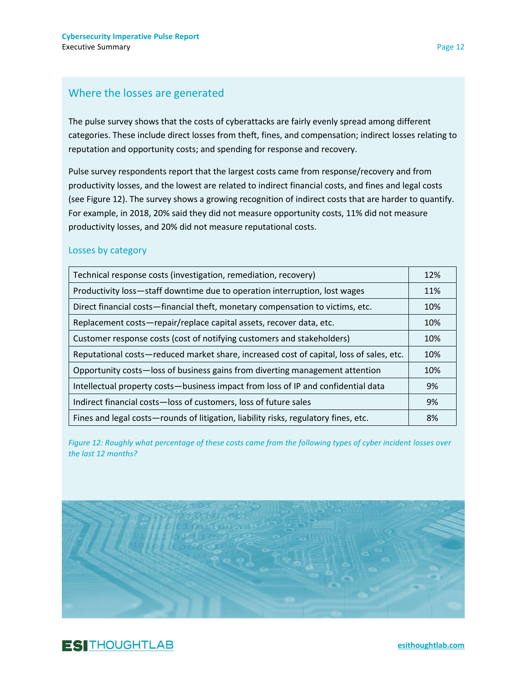### Where the losses are generated

The pulse survey shows that the costs of cyberattacks are fairly evenly spread among different categories. These include direct losses from theft, fines, and compensation; indirect losses relating to reputation and opportunity costs; and spending for response and recovery.

Pulse survey respondents report that the largest costs came from response/recovery and from productivity losses, and the lowest are related to indirect financial costs, and fines and legal costs (see Figure 12). The survey shows a growing recognition of indirect costs that are harder to quantify. For example, in 2018, 20% said they did not measure opportunity costs, 11% did not measure productivity losses, and 20% did not measure reputational costs.

### Losses by category

| Technical response costs (investigation, remediation, recovery)                         | 12% |
|-----------------------------------------------------------------------------------------|-----|
| Productivity loss-staff downtime due to operation interruption, lost wages              | 11% |
| Direct financial costs—financial theft, monetary compensation to victims, etc.          | 10% |
| Replacement costs-repair/replace capital assets, recover data, etc.                     | 10% |
| Customer response costs (cost of notifying customers and stakeholders)                  | 10% |
| Reputational costs—reduced market share, increased cost of capital, loss of sales, etc. | 10% |
| Opportunity costs-loss of business gains from diverting management attention            | 10% |
| Intellectual property costs-business impact from loss of IP and confidential data       | 9%  |
| Indirect financial costs-loss of customers, loss of future sales                        | 9%  |
| Fines and legal costs-rounds of litigation, liability risks, regulatory fines, etc.     | 8%  |

*Figure 12: Roughly what percentage of these costs came from the following types of cyber incident losses over the last 12 months?*

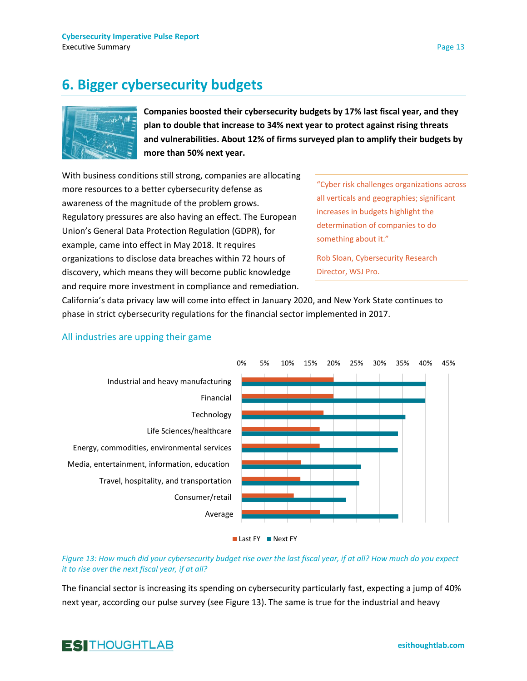## **6. Bigger cybersecurity budgets**



**Companies boosted their cybersecurity budgets by 17% last fiscal year, and they plan to double that increase to 34% next year to protect against rising threats and vulnerabilities. About 12% of firms surveyed plan to amplify their budgets by more than 50% next year.**

With business conditions still strong, companies are allocating more resources to a better cybersecurity defense as awareness of the magnitude of the problem grows. Regulatory pressures are also having an effect. The European Union's General Data Protection Regulation (GDPR), for example, came into effect in May 2018. It requires organizations to disclose data breaches within 72 hours of discovery, which means they will become public knowledge and require more investment in compliance and remediation.

"Cyber risk challenges organizations across all verticals and geographies; significant increases in budgets highlight the determination of companies to do something about it."

Rob Sloan, Cybersecurity Research Director, WSJ Pro.

California's data privacy law will come into effect in January 2020, and New York State continues to phase in strict cybersecurity regulations for the financial sector implemented in 2017.



### All industries are upping their game



*Figure 13: How much did your cybersecurity budget rise over the last fiscal year, if at all? How much do you expect it to rise over the next fiscal year, if at all?*

The financial sector is increasing its spending on cybersecurity particularly fast, expecting a jump of 40% next year, according our pulse survey (see Figure 13). The same is true for the industrial and heavy

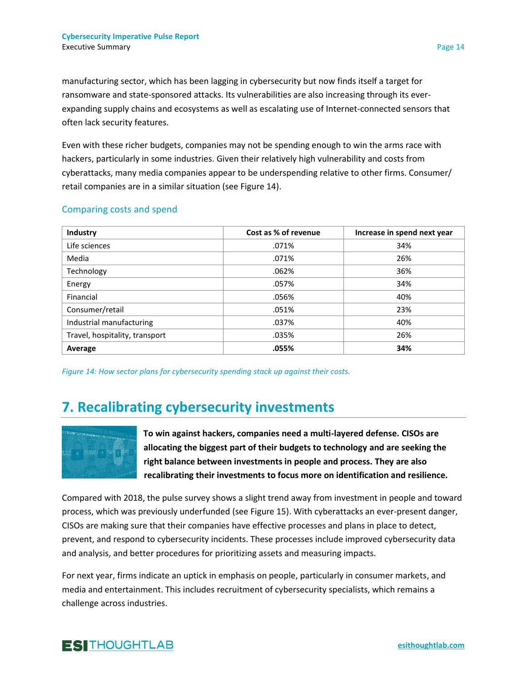manufacturing sector, which has been lagging in cybersecurity but now finds itself a target for ransomware and state-sponsored attacks. Its vulnerabilities are also increasing through its everexpanding supply chains and ecosystems as well as escalating use of Internet-connected sensors that often lack security features.

Even with these richer budgets, companies may not be spending enough to win the arms race with hackers, particularly in some industries. Given their relatively high vulnerability and costs from cyberattacks, many media companies appear to be underspending relative to other firms. Consumer/ retail companies are in a similar situation (see Figure 14).

#### Comparing costs and spend

| Industry                       | Cost as % of revenue | Increase in spend next year |
|--------------------------------|----------------------|-----------------------------|
| Life sciences                  | .071%                | 34%                         |
| Media                          | .071%                | 26%                         |
| Technology                     | .062%                | 36%                         |
| Energy                         | .057%                | 34%                         |
| Financial                      | .056%                | 40%                         |
| Consumer/retail                | .051%                | 23%                         |
| Industrial manufacturing       | .037%                | 40%                         |
| Travel, hospitality, transport | .035%                | 26%                         |
| Average                        | .055%                | 34%                         |

*Figure 14: How sector plans for cybersecurity spending stack up against their costs.*

### **7. Recalibrating cybersecurity investments**



**To win against hackers, companies need a multi-layered defense. CISOs are allocating the biggest part of their budgets to technology and are seeking the right balance between investments in people and process. They are also recalibrating their investments to focus more on identification and resilience.** 

Compared with 2018, the pulse survey shows a slight trend away from investment in people and toward process, which was previously underfunded (see Figure 15). With cyberattacks an ever-present danger, CISOs are making sure that their companies have effective processes and plans in place to detect, prevent, and respond to cybersecurity incidents. These processes include improved cybersecurity data and analysis, and better procedures for prioritizing assets and measuring impacts.

For next year, firms indicate an uptick in emphasis on people, particularly in consumer markets, and media and entertainment. This includes recruitment of cybersecurity specialists, which remains a challenge across industries.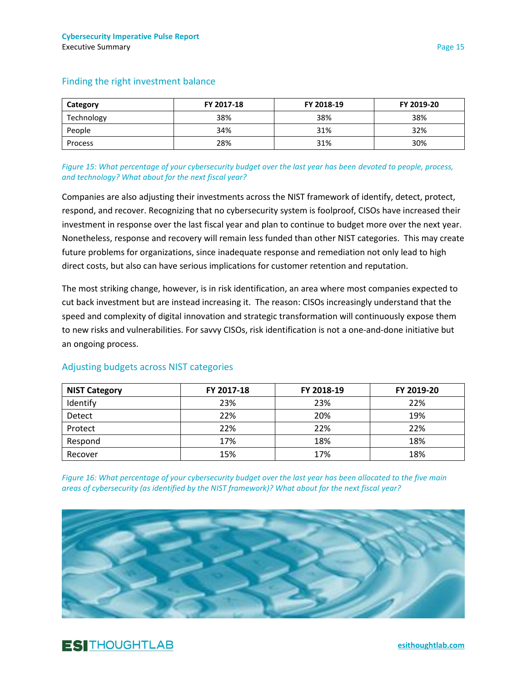| Category   | FY 2017-18 | FY 2018-19 | FY 2019-20 |
|------------|------------|------------|------------|
| Technology | 38%        | 38%        | 38%        |
| People     | 34%        | 31%        | 32%        |
| Process    | 28%        | 31%        | 30%        |

#### Finding the right investment balance

*Figure 15: What percentage of your cybersecurity budget over the last year has been devoted to people, process, and technology? What about for the next fiscal year?*

Companies are also adjusting their investments across the NIST framework of identify, detect, protect, respond, and recover. Recognizing that no cybersecurity system is foolproof, CISOs have increased their investment in response over the last fiscal year and plan to continue to budget more over the next year. Nonetheless, response and recovery will remain less funded than other NIST categories. This may create future problems for organizations, since inadequate response and remediation not only lead to high direct costs, but also can have serious implications for customer retention and reputation.

The most striking change, however, is in risk identification, an area where most companies expected to cut back investment but are instead increasing it. The reason: CISOs increasingly understand that the speed and complexity of digital innovation and strategic transformation will continuously expose them to new risks and vulnerabilities. For savvy CISOs, risk identification is not a one-and-done initiative but an ongoing process.

| <b>NIST Category</b> | FY 2017-18 | FY 2018-19 | FY 2019-20 |
|----------------------|------------|------------|------------|
| Identify             | 23%        | 23%        | 22%        |
| <b>Detect</b>        | 22%        | 20%        | 19%        |
| Protect              | 22%        | 22%        | 22%        |
| Respond              | 17%        | 18%        | 18%        |
| Recover              | 15%        | 17%        | 18%        |

### Adjusting budgets across NIST categories

*Figure 16: What percentage of your cybersecurity budget over the last year has been allocated to the five main areas of cybersecurity (as identified by the NIST framework)? What about for the next fiscal year?*

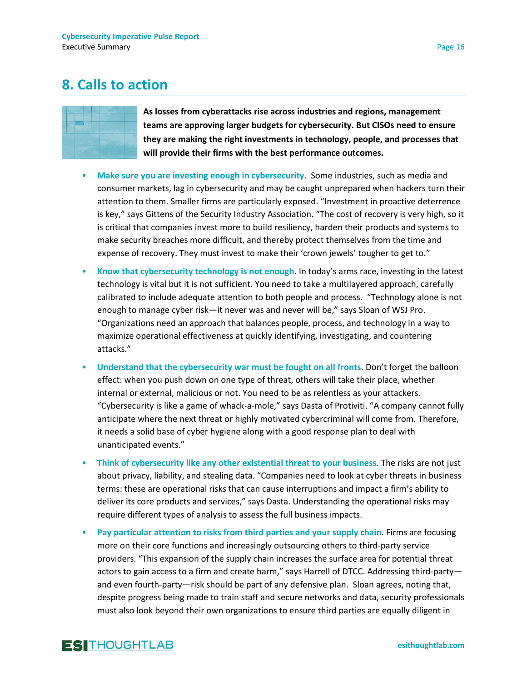### **8. Calls to action**



**As losses from cyberattacks rise across industries and regions, management teams are approving larger budgets for cybersecurity. But CISOs need to ensure they are making the right investments in technology, people, and processes that will provide their firms with the best performance outcomes.** 

- **Make sure you are investing enough in cybersecurity**. Some industries, such as media and consumer markets, lag in cybersecurity and may be caught unprepared when hackers turn their attention to them. Smaller firms are particularly exposed. "Investment in proactive deterrence is key," says Gittens of the Security Industry Association. "The cost of recovery is very high, so it is critical that companies invest more to build resiliency, harden their products and systems to make security breaches more difficult, and thereby protect themselves from the time and expense of recovery. They must invest to make their 'crown jewels' tougher to get to."
- **Know that cybersecurity technology is not enough**. In today's arms race, investing in the latest technology is vital but it is not sufficient. You need to take a multilayered approach, carefully calibrated to include adequate attention to both people and process. "Technology alone is not enough to manage cyber risk—it never was and never will be," says Sloan of WSJ Pro. "Organizations need an approach that balances people, process, and technology in a way to maximize operational effectiveness at quickly identifying, investigating, and countering attacks."
- **Understand that the cybersecurity war must be fought on all fronts**. Don't forget the balloon effect: when you push down on one type of threat, others will take their place, whether internal or external, malicious or not. You need to be as relentless as your attackers. "Cybersecurity is like a game of whack-a-mole," says Dasta of Protiviti. "A company cannot fully anticipate where the next threat or highly motivated cybercriminal will come from. Therefore, it needs a solid base of cyber hygiene along with a good response plan to deal with unanticipated events."
- **Think of cybersecurity like any other existential threat to your business**. The risks are not just about privacy, liability, and stealing data. "Companies need to look at cyber threats in business terms: these are operational risks that can cause interruptions and impact a firm's ability to deliver its core products and services," says Dasta. Understanding the operational risks may require different types of analysis to assess the full business impacts.
- **Pay particular attention to risks from third parties and your supply chain**. Firms are focusing more on their core functions and increasingly outsourcing others to third-party service providers. "This expansion of the supply chain increases the surface area for potential threat actors to gain access to a firm and create harm," says Harrell of DTCC. Addressing third-party and even fourth-party—risk should be part of any defensive plan. Sloan agrees, noting that, despite progress being made to train staff and secure networks and data, security professionals must also look beyond their own organizations to ensure third parties are equally diligent in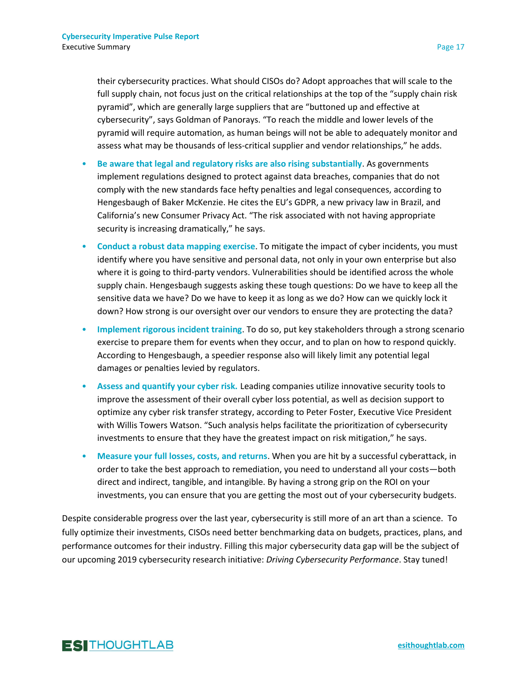their cybersecurity practices. What should CISOs do? Adopt approaches that will scale to the full supply chain, not focus just on the critical relationships at the top of the "supply chain risk pyramid", which are generally large suppliers that are "buttoned up and effective at cybersecurity", says Goldman of Panorays. "To reach the middle and lower levels of the pyramid will require automation, as human beings will not be able to adequately monitor and assess what may be thousands of less-critical supplier and vendor relationships," he adds.

- **Be aware that legal and regulatory risks are also rising substantially**. As governments implement regulations designed to protect against data breaches, companies that do not comply with the new standards face hefty penalties and legal consequences, according to Hengesbaugh of Baker McKenzie. He cites the EU's GDPR, a new privacy law in Brazil, and California's new Consumer Privacy Act. "The risk associated with not having appropriate security is increasing dramatically," he says.
- **Conduct a robust data mapping exercise**. To mitigate the impact of cyber incidents, you must identify where you have sensitive and personal data, not only in your own enterprise but also where it is going to third-party vendors. Vulnerabilities should be identified across the whole supply chain. Hengesbaugh suggests asking these tough questions: Do we have to keep all the sensitive data we have? Do we have to keep it as long as we do? How can we quickly lock it down? How strong is our oversight over our vendors to ensure they are protecting the data?
- **Implement rigorous incident training**. To do so, put key stakeholders through a strong scenario exercise to prepare them for events when they occur, and to plan on how to respond quickly. According to Hengesbaugh, a speedier response also will likely limit any potential legal damages or penalties levied by regulators.
- **Assess and quantify your cyber risk.** Leading companies utilize innovative security tools to improve the assessment of their overall cyber loss potential, as well as decision support to optimize any cyber risk transfer strategy, according to Peter Foster, Executive Vice President with Willis Towers Watson. "Such analysis helps facilitate the prioritization of cybersecurity investments to ensure that they have the greatest impact on risk mitigation," he says.
- **Measure your full losses, costs, and returns**. When you are hit by a successful cyberattack, in order to take the best approach to remediation, you need to understand all your costs—both direct and indirect, tangible, and intangible. By having a strong grip on the ROI on your investments, you can ensure that you are getting the most out of your cybersecurity budgets.

Despite considerable progress over the last year, cybersecurity is still more of an art than a science. To fully optimize their investments, CISOs need better benchmarking data on budgets, practices, plans, and performance outcomes for their industry. Filling this major cybersecurity data gap will be the subject of our upcoming 2019 cybersecurity research initiative: *Driving Cybersecurity Performance*. Stay tuned!